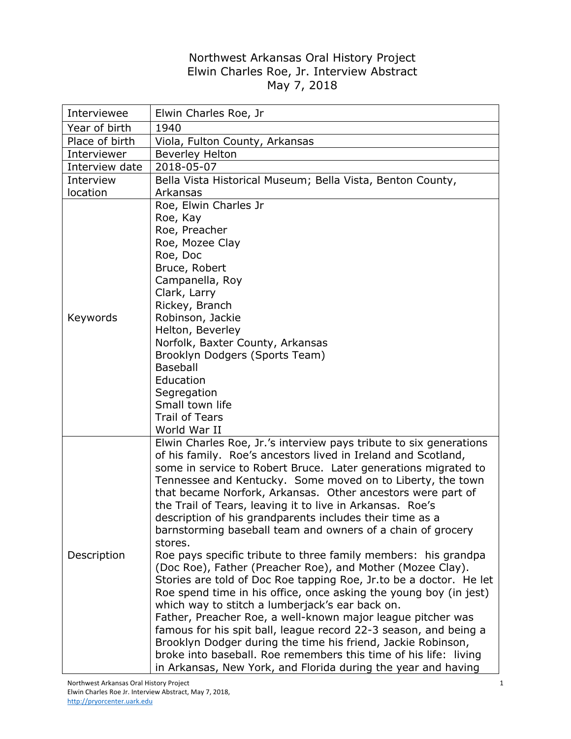## Northwest Arkansas Oral History Project Elwin Charles Roe, Jr. Interview Abstract May 7, 2018

| Interviewee    | Elwin Charles Roe, Jr                                                                                                                                                                                                                                                                                                                                                                                                                                                                                                                                                                                                                                                                                                                                                                                                                                                                                                                                                                                                                                                                                                                                                                                       |
|----------------|-------------------------------------------------------------------------------------------------------------------------------------------------------------------------------------------------------------------------------------------------------------------------------------------------------------------------------------------------------------------------------------------------------------------------------------------------------------------------------------------------------------------------------------------------------------------------------------------------------------------------------------------------------------------------------------------------------------------------------------------------------------------------------------------------------------------------------------------------------------------------------------------------------------------------------------------------------------------------------------------------------------------------------------------------------------------------------------------------------------------------------------------------------------------------------------------------------------|
| Year of birth  | 1940                                                                                                                                                                                                                                                                                                                                                                                                                                                                                                                                                                                                                                                                                                                                                                                                                                                                                                                                                                                                                                                                                                                                                                                                        |
| Place of birth | Viola, Fulton County, Arkansas                                                                                                                                                                                                                                                                                                                                                                                                                                                                                                                                                                                                                                                                                                                                                                                                                                                                                                                                                                                                                                                                                                                                                                              |
| Interviewer    | <b>Beverley Helton</b>                                                                                                                                                                                                                                                                                                                                                                                                                                                                                                                                                                                                                                                                                                                                                                                                                                                                                                                                                                                                                                                                                                                                                                                      |
| Interview date | 2018-05-07                                                                                                                                                                                                                                                                                                                                                                                                                                                                                                                                                                                                                                                                                                                                                                                                                                                                                                                                                                                                                                                                                                                                                                                                  |
| Interview      | Bella Vista Historical Museum; Bella Vista, Benton County,                                                                                                                                                                                                                                                                                                                                                                                                                                                                                                                                                                                                                                                                                                                                                                                                                                                                                                                                                                                                                                                                                                                                                  |
| location       | Arkansas                                                                                                                                                                                                                                                                                                                                                                                                                                                                                                                                                                                                                                                                                                                                                                                                                                                                                                                                                                                                                                                                                                                                                                                                    |
| Keywords       | Roe, Elwin Charles Jr<br>Roe, Kay<br>Roe, Preacher<br>Roe, Mozee Clay<br>Roe, Doc<br>Bruce, Robert<br>Campanella, Roy<br>Clark, Larry<br>Rickey, Branch<br>Robinson, Jackie<br>Helton, Beverley<br>Norfolk, Baxter County, Arkansas<br>Brooklyn Dodgers (Sports Team)<br><b>Baseball</b><br>Education<br>Segregation<br>Small town life<br><b>Trail of Tears</b><br>World War II                                                                                                                                                                                                                                                                                                                                                                                                                                                                                                                                                                                                                                                                                                                                                                                                                            |
| Description    | Elwin Charles Roe, Jr.'s interview pays tribute to six generations<br>of his family. Roe's ancestors lived in Ireland and Scotland,<br>some in service to Robert Bruce. Later generations migrated to<br>Tennessee and Kentucky. Some moved on to Liberty, the town<br>that became Norfork, Arkansas. Other ancestors were part of<br>the Trail of Tears, leaving it to live in Arkansas. Roe's<br>description of his grandparents includes their time as a<br>barnstorming baseball team and owners of a chain of grocery<br>stores.<br>Roe pays specific tribute to three family members: his grandpa<br>(Doc Roe), Father (Preacher Roe), and Mother (Mozee Clay).<br>Stories are told of Doc Roe tapping Roe, Jr.to be a doctor. He let<br>Roe spend time in his office, once asking the young boy (in jest)<br>which way to stitch a lumberjack's ear back on.<br>Father, Preacher Roe, a well-known major league pitcher was<br>famous for his spit ball, league record 22-3 season, and being a<br>Brooklyn Dodger during the time his friend, Jackie Robinson,<br>broke into baseball. Roe remembers this time of his life: living<br>in Arkansas, New York, and Florida during the year and having |